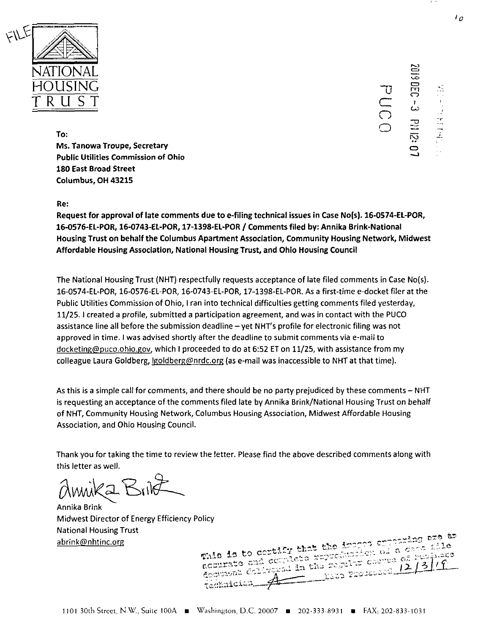

ro *czi* CD mCD <u>د </u> CD

 $\sum_{n=1}^{\infty}$ o

**To; Ms. Tanowa Troupe, Secretary Public Utilities Commission of Ohio 180 East Broad Street Columbus, OH 43215**

#### **Re:**

**Request for approval of late comments due to e-filing technical issues In Case No(s). 16-0574-EL-POR, 16-0576-EL-POR, 16-0743-EL-POR, 17-139S-EL-POR / Comments filed by: Annika Brink-National Housing Trust on behalf the Columbus Apartment Association, Community Housing Network, Midwest Affordable Housing Association, National Housing Trust, and Ohio Housing Council**

The National Housing Trust (NHT) respectfully requests acceptance of late filed comments in Case No(s). 16-0574-EL-POR, 16-0576-EL-POR, 16-0743-EL-POR, 17-1398-EL-POR. As a first-time e-docket filer at the Public Utilities Commission of Ohio, I ran into technical difficulties getting comments filed yesterday, 11/25.1 created a profile, submitted a participation agreement, and was in contact with the PUCO assistance line all before the submission deadline - yet NHT's profile for electronic filing was not approved in time. <sup>I</sup> was advised shortly after the deadline to submit comments via e-mail to docketing@puco.ohio.gov, which I proceeded to do at 6:52 ET on 11/25, with assistance from my colleague Laura Goldberg, *igoldberg@nrdc.org* (as e-mail was inaccessible to NHT at that time).

As this is <sup>a</sup> simple call for comments, and there should be no party prejudiced by these comments - NHT is requesting an acceptance of the comments filed late by Annika Brink/National Housing Trust on behalf of NHT, Community Housing Network, Columbus Housing Association, Midwest Affordable Housing Association, and Ohio Housing Council.

Thank you for taking the time to review the letter. Please find the above described comments along with this letter as well.

 $\sim$  Di

Annika Brink Midwest Director of Energy Efficiency Policy National Housing Trust

abrink@nhtinc.org (and the the the improperties of a cardinal condition of a cardinal condition of a cardinal condition of a cardinal condition of a cardinal condition of a cardinal condition of a cardinal condition of  $\frac$ scourate and complete reproduction of a care this  $\breve{\cancel{A}}$ technician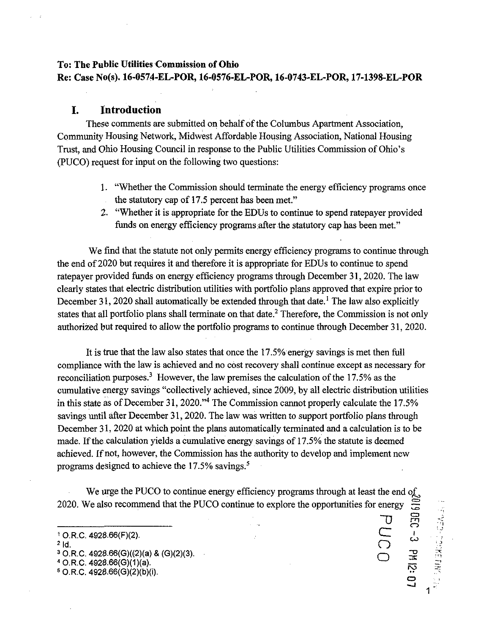## **To: The Public Utilities Commission of Ohio Re: Case No(s). 16-0574-EL-POR, 16-0576-EL-POR, 16-0743-EL-POR, 17-1398-EL-POR**

## **I. Introduction**

These comments are submitted on behalf of the Columbus Apartment Association, Community Housing Network, Midwest Affordable Housing Association, National Housing Trust, and Ohio Housing Council in response to the Public Utilities Commission ofOhio's (PUCO) request for input on the following two questions:

- 1. "Whether the Commission should terminate the energy efficiency programs once the statutory cap of 17.5 percent has been met."
- 2. "Whether it is appropriate for the EDUs to continue to spend ratepayer provided funds on energy efficiency programs after the statutory cap has been met."

We find that the statute not only permits energy efficiency programs to continue through the end of2020 but requires it and therefore it is appropriate for EDUs to continue to spend ratepayer provided funds on energy efficiency programs through December 31,2020. The law clearly states that electric distribution utilities with portfolio plans approved that expire prior to December 31, 2020 shall automatically be extended through that date.<sup>1</sup> The law also explicitly states that all portfolio plans shall terminate on that date.<sup>2</sup> Therefore, the Commission is not only authorized but required to allow the portfolio programs to continue through December 31, 2020.

It is true that the law also states that once the 17.5% energy savings is met then full compliance with the law is achieved and no cost recovery shall continue except as necessary for reconciliation purposes.<sup>3</sup> However, the law premises the calculation of the 17.5% as the cumulative energy savings "collectively achieved, since 2009, by all electric distribution utilities in this state as of December 31, 2020."<sup>4</sup> The Commission cannot properly calculate the  $17.5\%$ savings until after December 31, 2020. The law was written to support portfolio plans through December 31, 2020 at which point the plans automatically terminated and a calculation is to be made. If the calculation yields a cumulative energy savings of 17.5% the statute is deemed achieved. If not, however, the Commission has the authority to develop and implement new programs designed to achieve the  $17.5\%$  savings.<sup>5</sup>

We urge the PUCO to continue energy efficiency programs through at least the end of we dige the PUCO continue the procedure of programs unodget at least the end of 2020. We also recommend that the PUCO continue to explore the opportunities for energy  $\epsilon$ 

> "D **e o o**

CD *C->* m

 $\dot{\bm{\omega}}$ 

*'■D* or

..<br>Cl

4 O.R.C. 4928.66(G)(1)(a).

 $1$  O.R.C. 4928.66(F)(2).  $2$   $\mathsf{Id}$ .

<sup>3</sup> O.R.C. 4928.66(G)((2)(a) & (G)(2)(3).

<sup>5</sup> O.R.C. 4928.66(G)(2)(b)(i).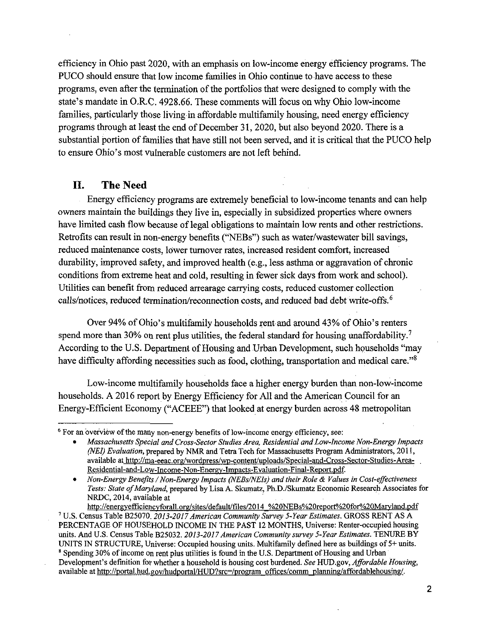efficiency in Ohio past 2020, with an emphasis on low-income energy efficiency programs. The PUCO should ensure that low income families in Ohio continue to have access to these programs, even after the termination of the portfolios that were designed to comply with the state's mandate in O.R.C. 4928.66. These comments will focus on why Ohio low-income families, particularly those living in affordable multifamily housing, need energy efficiency programs through at least the end of December 31, 2020, but also beyond 2020. There is a substantial portion of families that have still not been served, and it is critical that the PUCO help to ensure Ohio's most vulnerable customers are not left behind.

# **II. The Need**

Energy efficiency programs are extremely beneficial to low-income tenants and can help owners maintain the buildings they live in, especially in subsidized properties where owners have limited cash flow because of legal obligations to maintain low rents and other restrictions. Retrofits can result in non-energy benefits ("NEBs") such as water/wastewater bill savings, reduced maintenance costs, lower turnover rates, increased resident comfort, increased durability, improved safety, and improved health (e.g., less asthma or aggravation of chronic conditions from extreme heat and cold, resulting in fewer sick days from work and school). Utilities can benefit from reduced arrearage carrying costs, reduced customer collection calls/notices, reduced termination/reconnection costs, and reduced bad debt write-offs.<sup>6</sup>

Over 94% of Ohio's multifamily households rent and around 43% of Ohio's renters spend more than 30% on rent plus utilities, the federal standard for housing unaffordability.<sup>7</sup> According to the U.S. Department of Housing and Urban Development, such households "may have difficulty affording necessities such as food, clothing, transportation and medical care."<sup>8</sup>

Low-income multifamily households face a higher energy burden than non-low-income households. A 2016 report by Energy Efficiency for All and the American Council for an Energy-Efficient Economy ("ACEEE") that looked at energy burden across 48 metropolitan

http://energvefficiencvforall.org/sites/default/files/2Q14 %20NEBs%20report%20for%20Marvland.pdf

 $<sup>6</sup>$  For an overview of the many non-energy benefits of low-income energy efficiency, see:</sup>

Massachusetts Special and Cross-Sector Studies Area, Residential and Low-Income Non-Energy Impacts (NEI) Evaluation, prepared by NMR and Tetra Tech for Massachusetts Program Administrators, 2011, available at http://ma-eeac.org/wordpress/wp-content/uploads/Special-and-Cross-Sector-Studies-Area-Residential-and-Low-Income-Non-Energv-Tmpacts-Evaluation-Final-Report.pdf.

Non-Energy Benefits / Non-Energy Impacts (NEBs/NEIs) and their Role & Values in Cost-effectiveness Tests: State of Maryland, prepared by Lisa A. Skumatz, Ph.D./Skumatz Economic Research Associates for NRDC, 2014, available at

<sup>&</sup>lt;sup>7</sup> U.S. Census Table B25070. 2013-2017 American Community Survey 5-Year Estimates. GROSS RENT AS A PERCENTAGE OF HOUSEHOLD INCOME IN THE PAST 12 MONTHS, Universe: Renter-occupied housing units. And U.S. Census Table B25032. 2013-2017 American Community survey 5-Year Estimates. TENURE BY UNITS IN STRUCTURE, Universe: Occupied housing units. Multifamily defined here as buildings of 5+ units. <sup>8</sup> Spending 30% of income on rent plus utilities is found in the U.S. Department of Housing and Urban Development's definition for whether a household is housing cost burdened. See HUD.gov, Affordable Housing, available at http://portal.hud.gov/hudportal/HUD?src=/program offices/comm\_planning/affordablehousing/.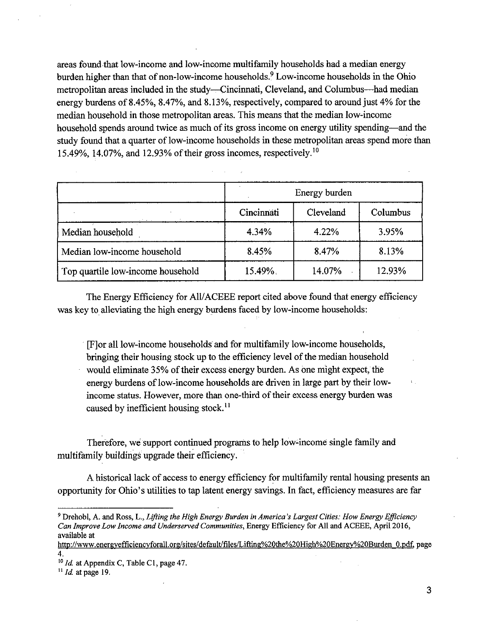areas found that low-income and low-income multifamily households had a median energy burden higher than that of non-low-income households.<sup>9</sup> Low-income households in the Ohio metropolitan areas included in the study—Cincinnati, Cleveland, and Columbus—^had median energy burdens of 8.45%, 8.47%, and 8.13%, respectively, compared to around just 4% for the median household in those metropolitan areas. This means that the median low-income household spends around twice as much of its gross income on energy utility spending—and the study found that a quarter of low-income households in these metropolitan areas spend more than 15.49%, 14.07%, and 12.93% of their gross incomes, respectively.<sup>10</sup>

|                                   | Energy burden |           |          |  |
|-----------------------------------|---------------|-----------|----------|--|
|                                   | Cincinnati    | Cleveland | Columbus |  |
| Median household                  | 4.34%         | 4.22%     | 3.95%    |  |
| Median low-income household       | 8.45%         | 8.47%     | 8.13%    |  |
| Top quartile low-income household | 15.49%        | 14.07%    | 12.93%   |  |

The Energy Efficiency for All/ACEEE report cited above found that energy efficiency was key to alleviating the high energy burdens faced by low-income households:

[F]or all low-income households and for multifamily low-income households, bringing their housing stock up to the efficiency level of the median household would eliminate 35% of their excess energy burden. As one might expect, the energy burdens of low-income households are driven in large part by their lowincome status. However, more than one-third of their excess energy burden was caused by inefficient housing stock. $^{11}$ 

Therefore, we support continued programs to help low-income single family and multifamily buildings upgrade their efficiency.

A historical lack of access to energy efficiency for multifamily rental housing presents an opportunity for Ohio's utilities to tap latent energy savings. In fact, efficiency measures are far

<sup>&</sup>lt;sup>9</sup> Drehobl, A. and Ross, L., Lifting the High Energy Burden in America's Largest Cities: How Energy Efficiency Can Improve Low Income and Underserved Communities, Energy Efficiency for All and ACEEE, April 2016, available at

http://www.energvefficiencvforall.org/sites/default/files/Lifting%20the%20High%20Energv%2QBurden O.pdf. page 4.

Id. at Appendix C, Table C1, page 47.

 $11$  *Id.* at page 19.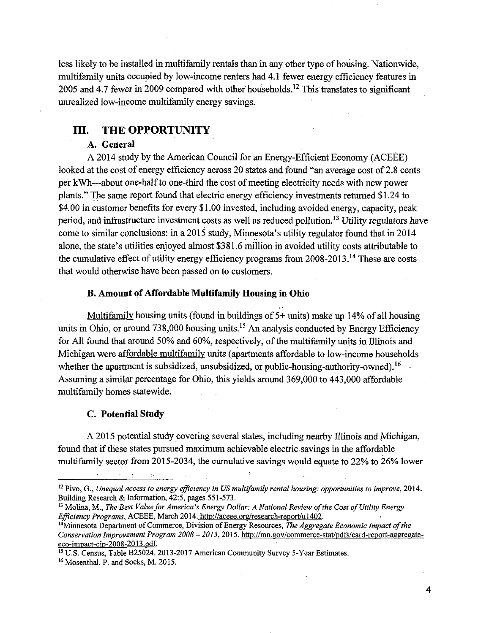less likely to be installed in multifamily rentals than in any other type of housing. Nationwide, multifamily units occupied by low-income renters had 4.1 fewer energy efficiency features in 2005 and 4.7 fewer in 2009 compared with other households.<sup>12</sup> This translates to significant unrealized low-income multifamily energy savings.

# **III. THE OPPORTUNITY**

#### **A. General**

A 2014 study by the American Council for an Energy-Efficient Economy (ACEEE) looked at the cost of energy efficiency across 20 states and found "an average cost of 2.8 cents per kWh---about one-half to one-third the cost of meeting electricity needs with new power plants." The same report found that electric energy efficiency investments returned \$1.24 to \$4.00 in customer benefits for every \$1.00 invested, including avoided energy, capacity, peak period, and infrastructure investment costs as well as reduced pollution.<sup>13</sup> Utility regulators have come to similar conclusions: in a 2015 study, Minnesota's utility regulator found that in 2014 alone, the state's utilities enjoyed almost \$381.6 million in avoided utility costs attributable to the cumulative effect of utility energy efficiency programs from  $2008-2013$ .<sup>14</sup> These are costs that would otherwise have been passed on to customers.

#### **B. Amount ofAffordable Multifamily Housing in Ohio**

Multifamilv housing units (found in buildings of 5+ units) make up 14% of all housing units in Ohio, or around 738,000 housing units.<sup>15</sup> An analysis conducted by Energy Efficiency for All found that around 50% and 60%, respectively, of the multifamily units in Illinois and Michigan were affordable multifamily units (apartments affordable to low-income households whether the apartment is subsidized, unsubsidized, or public-housing-authority-owned). <sup>16</sup> Assuming a similar percentage for Ohio, this yields around 369,000 to 443,000 affordable multifamily homes statewide.

#### **C. Potential Study**

A 2015 potential study covering several states, including nearby Illinois and Michigan, found that if these states pursued maximum achievable electric savings in the affordable multifamily sector from 2015-2034, the cumulative savings would equate to 22% to 26% lower

 $12$  Pivo, G., Unequal access to energy efficiency in US multifamily rental housing: opportunities to improve, 2014. Building Research & Information, 42:5, pages 551-573.

<sup>&</sup>lt;sup>13</sup> Molina, M., The Best Value for America's Energy Dollar: A National Review of the Cost of Utility Energy Efficiency Programs, ACEEE, March 2014. http://aceee.org/research-report/u1402.

<sup>&</sup>lt;sup>14</sup>Minnesota Department of Commerce, Division of Energy Resources, *The Aggregate Economic Impact of the* Conservation Improvement Program 2008 - 2013, 2015. http://mn.gov/commerce-stat/pdfs/card-report-aggregateeco-impact-cip-20QS-2013 .pdf

<sup>&</sup>lt;sup>15</sup> U.S. Census, Table B25024. 2013-2017 American Community Survey 5-Year Estimates.

<sup>&</sup>lt;sup>16</sup> Mosenthal, P. and Socks, M. 2015.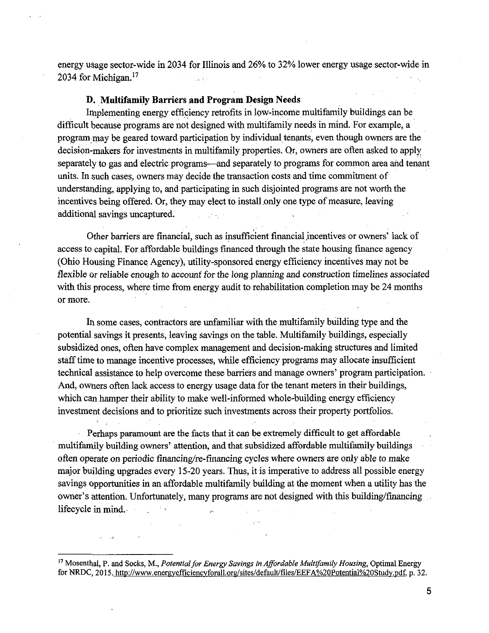energy usage sector-wide in 2034 for Illinois and 26% to 32% lower energy usage sector-wide in 2034 for Michigan. $17$  $\sim 100$ 

#### D. Muitifamily Barriers and Program Design Needs

Implementing energy efficiency retrofits in low-income multifamily buildings can be difficult because programs are not designed with multifamily needs in mind. For example, a program may be geared toward participation by individual tenants, even though owners are the decision-makers for investments in multifamily properties. Or, owners are often asked to apply separately to gas and electric programs—and separately to programs for common area and tenant units. In such cases, owners may decide the transaction costs and time commitment of understanding, applying to, and participating in such disjointed programs are not worth the incentives being offered. Or, they may elect to install only one type of measure, leaving additional savings uncaptured. الفارق فيراد الرازا  $\mathcal{L}_{\mathrm{eff}}$ 

Other barriers are financial, such as insufficient financial incentives or owners' lack of access to capital. For affordable buildings financed through the state housing finance agency (Ohio Housing Finance Agency), utility-sponsored energy efficiency incentives may not be flexible or reliable enough to account for the long planning and construction timelines associated with this process, where time from energy audit to rehabilitation completion may be 24 months or more.

In some eases, contractors are unfamiliar with the multifamily building type and the potential savings it presents, leaving savings on the table. Multifamily buildings, especially subsidized ones, often have complex management and decision-making structures and limited stafftime to manage incentive processes, while efficiency programs may allocate insufficient technical assistance to help overcome these barriers and manage owners' program participation. And, owners often lack access to energy usage data for the tenant meters in their buildings, which can hamper their ability to make well-informed whole-building energy efficiency investment decisions and to prioritize such investments across their property portfolios.

Perhaps paramount are the facts that it can be extremely difficult to get affordable multifamily building owners' attention, and that subsidized affordable multifamily buildings often operate on periodic financing/re-financing cycles where owners are only able to make major building upgrades every 15-20 years. Thus, it is imperative to address all possible energy savings opportunities in an affordable multifamily building at the moment when a utility has the owner's attention. Unfortunately, many programs are not designed with this building/fmancing lifecycle in mind.  $\bar{\mathcal{B}}$ 

 $17$  Mosenthal, P. and Socks, M., Potential for Energy Savings in Affordable Multifamily Housing, Optimal Energy for NRDC, 2015. http://www.energyefficiencyforall.org/sites/default/files/EEFA%20Potential%20Study.pdf, p. 32.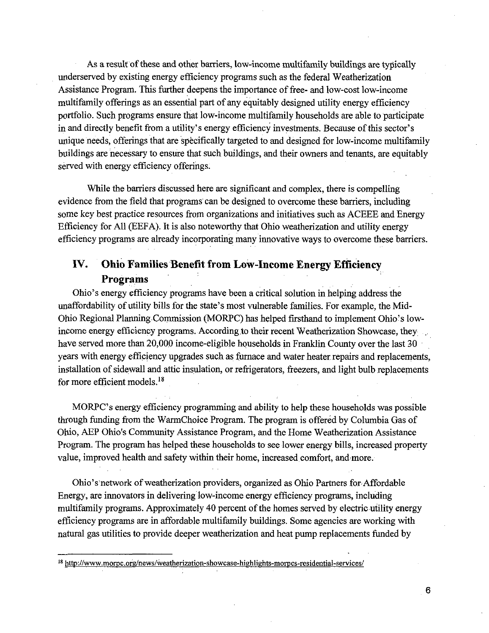As a result of these and other barriers, low-income multifamily buildings are typically underserved by existing energy efficiency programs such as the federal Weatherization Assistance Program. This further deepens the importance of free- and low-cost low-income multifamily offerings as an essential part of any equitably designed utility energy efficiency portfolio. Such programs ensure that low-income multifamily households are able to participate in and directly benefit from a utility's energy efficiency investments. Because ofthis sector's unique needs, offerings that are specifically targeted to and designed for low-income multifamily buildings are necessary to ensure that such buildings, and their ovmers and tenants, are equitably served with energy efficiency offerings.

While the barriers discussed here are significant and complex, there is compelling evidence from the field that programs can be designed to overcome these barriers, including some key best practice resources from organizations and initiatives such as ACEEE and Energy Efficiency for All (EEFA). It is also noteworthy that Ohio weatherization and utility energy efficiency programs are already incorporating many innovative ways to overcome these barriers.

# **IV. Ohio Families Benefit from Low-Income Energy Efficiency Programs**

Ohio's energy efficiency programs have been a critical solution in helping address the unaffordability of utility bills for the state's most vulnerable families. For example, the Mid-Ohio Regional Planning Commission (MORPC) has helped firsthand to implement Ohio's lowincome energy efficiency programs. According to their recent Weatherization Showcase, they have served more than 20,000 income-eligible households in Franklin County over the last 30 years with energy efficiency upgrades such as furnace and water heater repairs and replacements, installation of sidewall and attic insulation, or refrigerators, freezers, and light bulb replacements for more efficient models. $^{18}$ 

MORPC's energy efficiency programming and ability to help these households was possible through funding from the WarmChoice Program. The program is offered by Columbia Gas of Ohio, AEP Ohio's Community Assistance Program, and the Home Weatherization Assistance Program. The program has helped these households to see lower energy bills, increased property value, improved health and safety within their home, increased comfort, and more.

Ohio's network of weatherization providers, organized as Ohio Partners for Affordable Energy, are innovators in delivering low-income energy efficiency programs, including multifamily programs. Approximately 40 percent of the homes served by electric utility energy efficiency programs are in affordable multifamily buildings. Some agencies are working with natural gas utilities to provide deeper weatherization and heat pump replacements funded by

<sup>18</sup> http://www.morpc.org/news/weatherization-showcase-highlights-morpcs-residential-services/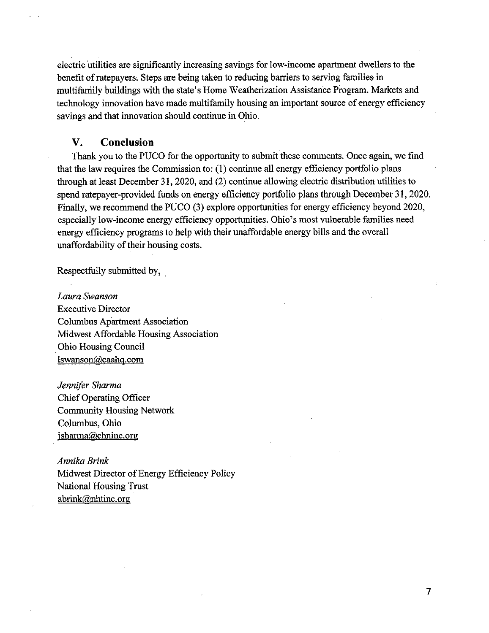electric utilities are significantly increasing savings for low-income apartment dwellers to the benefit of ratepayers. Steps are being taken to reducing barriers to serving families in multifaniily buildings with the state's Home Weatherization Assistance Program. Markets and technology innovation have made multifamily housing an important source of energy efficiency savings and that innovation should continue in Ohio.

### **V. Conclusion**

Thank you to the PUCO for the opportunity to submit these comments. Once again, we find that the law requires the Commission to: (1) continue all energy efficiency portfolio plans through at least December 31,2020, and (2) continue allowing electric distribution utilities to spend ratepayer-provided funds on energy efficiency portfolio plans through December 31, 2020. Finally, we recommend the PUCO (3) explore opportunities for energy efficiency beyond 2020, especially low-income energy efficiency opportunities. Ohio's most vulnerable families need energy efficiency programs to help with their unaffordable energy bills and the overall unaffordability of their housing costs.

Respectfully submitted by,

Laura Swanson Executive Director Columbus Apartment Association Midwest Affordable Housing Association Ohio Housing Council lswanson@caahq.com

Jennifer Sharma ChiefOperating Officer Community Housing Network Columbus, Ohio isharma@chninc.org

*Annika Brink* Midwest Director of Energy Efficiency Policy National Housing Trust abrink@nhtinc.org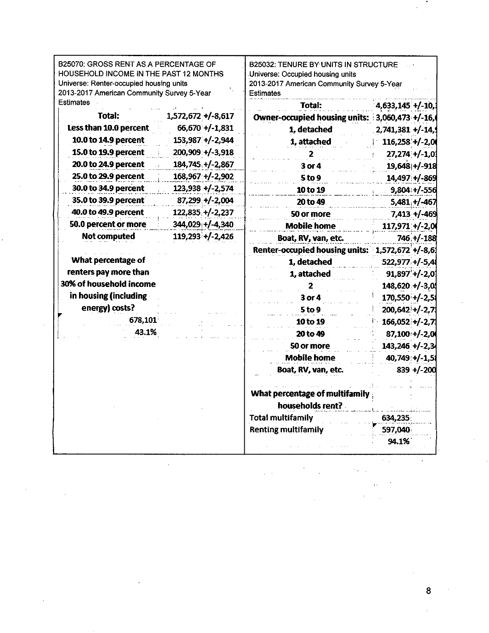| B25070: GROSS RENT AS A PERCENTAGE OF<br>HOUSEHOLD INCOME IN THE PAST 12 MONTHS<br>Universe: Renter-occupied housing units<br>2013-2017 American Community Survey 5-Year |                        | B25032: TENURE BY UNITS IN STRUCTURE<br>Universe: Occupied housing units<br>2013-2017 American Community Survey 5-Year<br><b>Estimates</b> |                            |  |  |
|--------------------------------------------------------------------------------------------------------------------------------------------------------------------------|------------------------|--------------------------------------------------------------------------------------------------------------------------------------------|----------------------------|--|--|
| <b>Estimates</b>                                                                                                                                                         |                        | <b>Total:</b>                                                                                                                              | 4,633,145 +/-10,           |  |  |
| Total:                                                                                                                                                                   | $1,572,672 + (-8,617)$ | <b>Owner-occupied housing units:</b>                                                                                                       | $3,060,473 + (-16)$        |  |  |
| Less than 10.0 percent                                                                                                                                                   | $66,670 + (-1,831)$    | 1, detached                                                                                                                                | $2,741,381 + (-14, 9)$     |  |  |
| 10.0 to 14.9 percent                                                                                                                                                     | 153,987 +/-2,944       | 1, attached                                                                                                                                | $116,258'+/-2,0$           |  |  |
| 15.0 to 19.9 percent                                                                                                                                                     | 200,909: +/-3,918      | 2                                                                                                                                          | $27,274$ +/-1,03           |  |  |
| 20.0 to 24.9 percent                                                                                                                                                     | $184,745$ +/-2,867     | 3 or 4                                                                                                                                     | 19,648 +/-918              |  |  |
| 25.0 to 29.9 percent                                                                                                                                                     | 168,967 +/-2,902       | 5 to 9                                                                                                                                     | 14,497 +/-869              |  |  |
| 30.0 to 34.9 percent                                                                                                                                                     | $123,938 + (-2,574)$   | 10 to 19                                                                                                                                   | $9,804:+/556$              |  |  |
| 35.0 to 39.9 percent                                                                                                                                                     | $87,299 + / 2,004$     | 20 to 49                                                                                                                                   | $5,481, +/-467$            |  |  |
| 40.0 to 49.9 percent                                                                                                                                                     | 122,835 +/-2,237       | 50 or more                                                                                                                                 | $7,413 + (-469)$           |  |  |
| 50.0 percent or more                                                                                                                                                     | 344,029 +/-4,340       | <b>Mobile home</b>                                                                                                                         | $117,971 + (-2,0)$         |  |  |
| Not computed                                                                                                                                                             | $119,293 + (-2,426)$   | Boat, RV, van, etc.                                                                                                                        | 746, +/-188                |  |  |
|                                                                                                                                                                          |                        | Renter-occupied housing units:                                                                                                             | $1,572,672 + (-8,6)$<br>÷, |  |  |
| What percentage of                                                                                                                                                       |                        | 1, detached                                                                                                                                | 522,977 +/-5,4             |  |  |
| renters pay more than                                                                                                                                                    |                        | 1, attached                                                                                                                                | $91,897'$ +/-2,0           |  |  |
| 30% of household income                                                                                                                                                  |                        | 2                                                                                                                                          | 148,620 +/-3,0             |  |  |
| in housing (including                                                                                                                                                    |                        | 3 or 4                                                                                                                                     | $170,550 + (-2,5)$         |  |  |
| energy) costs?                                                                                                                                                           |                        | 5 <sub>to</sub> 9                                                                                                                          | 200,642 +/-2,7             |  |  |
| 678,101                                                                                                                                                                  |                        | 10 to 19                                                                                                                                   | $166,052+/-2,7$            |  |  |
| 43.1%                                                                                                                                                                    |                        | 20 to 49                                                                                                                                   | 87,100++/-2,0              |  |  |
|                                                                                                                                                                          |                        | 50 or more                                                                                                                                 | $143,246 + (-2,3)$         |  |  |
|                                                                                                                                                                          |                        | <b>Mobile home</b>                                                                                                                         | 40,749 +/-1,5              |  |  |
|                                                                                                                                                                          |                        | Boat, RV, van, etc.                                                                                                                        | $839 + (-200)$             |  |  |
|                                                                                                                                                                          |                        |                                                                                                                                            |                            |  |  |
|                                                                                                                                                                          |                        | What percentage of multifamily                                                                                                             |                            |  |  |
|                                                                                                                                                                          |                        | households rent? .                                                                                                                         |                            |  |  |
|                                                                                                                                                                          |                        | <b>Total multifamily</b>                                                                                                                   | 634,235.                   |  |  |
|                                                                                                                                                                          |                        | <b>Renting multifamily</b>                                                                                                                 | 597,040                    |  |  |
|                                                                                                                                                                          |                        |                                                                                                                                            | 94.1%                      |  |  |

8